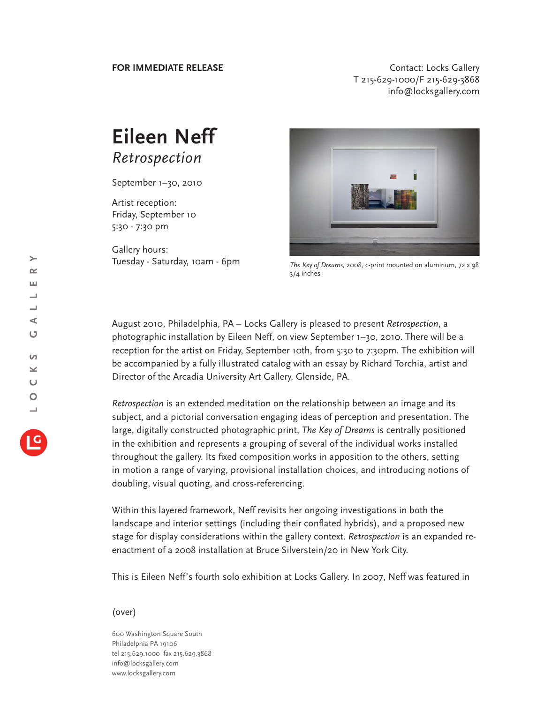**FOR IMMEDIATE RELEASE CONTACT CONTACT:** Locks Gallery T 215-629-1000/F 215-629-3868 info@locksgallery.com

## **Eileen Neff** *Retrospection*

September 1–30, 2010

Artist reception: Friday, September 10 5:30 - 7:30 pm

Gallery hours: Tuesday - Saturday, 10am - 6pm



*The Key of Dreams,* 2008, c-print mounted on aluminum, 72 x 98 3/4 inches

August 2010, Philadelphia, PA – Locks Gallery is pleased to present *Retrospection*, a photographic installation by Eileen Neff, on view September 1–30, 2010. There will be a reception for the artist on Friday, September 10th, from 5:30 to 7:30pm. The exhibition will be accompanied by a fully illustrated catalog with an essay by Richard Torchia, artist and Director of the Arcadia University Art Gallery, Glenside, PA.

*Retrospection* is an extended meditation on the relationship between an image and its subject, and a pictorial conversation engaging ideas of perception and presentation. The large, digitally constructed photographic print, *The Key of Dreams* is centrally positioned in the exhibition and represents a grouping of several of the individual works installed throughout the gallery. Its fixed composition works in apposition to the others, setting in motion a range of varying, provisional installation choices, and introducing notions of doubling, visual quoting, and cross-referencing.

Within this layered framework, Neff revisits her ongoing investigations in both the landscape and interior settings (including their conflated hybrids), and a proposed new stage for display considerations within the gallery context. *Retrospection* is an expanded reenactment of a 2008 installation at Bruce Silverstein/20 in New York City.

This is Eileen Neff's fourth solo exhibition at Locks Gallery. In 2007, Neff was featured in

## (over)

600 Washington Square South Philadelphia PA 19106 tel 215.629.1000 fax 215.629.3868 info@locksgallery.com www.locksgallery.com